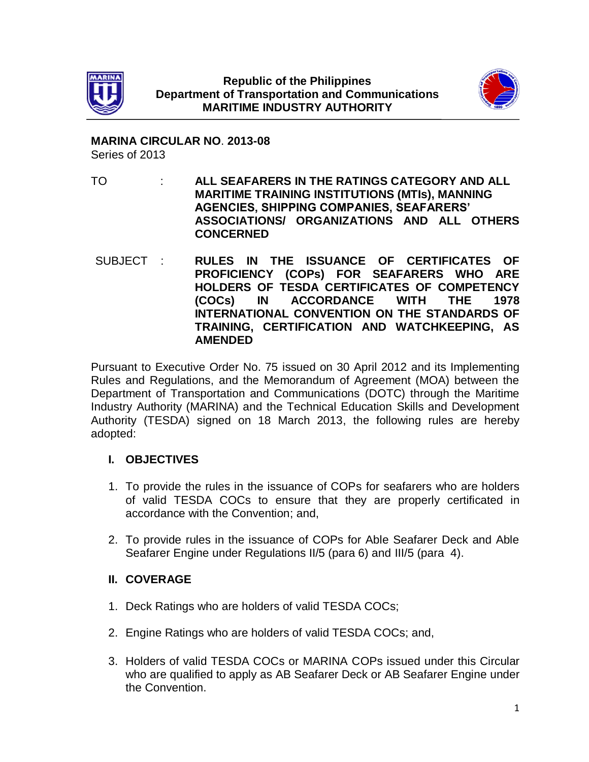



**MARINA CIRCULAR NO**. **2013-08** Series of 2013

- TO : **ALL SEAFARERS IN THE RATINGS CATEGORY AND ALL MARITIME TRAINING INSTITUTIONS (MTIs), MANNING AGENCIES, SHIPPING COMPANIES, SEAFARERS' ASSOCIATIONS/ ORGANIZATIONS AND ALL OTHERS CONCERNED**
- SUBJECT : **RULES IN THE ISSUANCE OF CERTIFICATES OF PROFICIENCY (COPs) FOR SEAFARERS WHO ARE HOLDERS OF TESDA CERTIFICATES OF COMPETENCY (COCs) IN ACCORDANCE WITH THE 1978 INTERNATIONAL CONVENTION ON THE STANDARDS OF TRAINING, CERTIFICATION AND WATCHKEEPING, AS AMENDED**

Pursuant to Executive Order No. 75 issued on 30 April 2012 and its Implementing Rules and Regulations, and the Memorandum of Agreement (MOA) between the Department of Transportation and Communications (DOTC) through the Maritime Industry Authority (MARINA) and the Technical Education Skills and Development Authority (TESDA) signed on 18 March 2013, the following rules are hereby adopted:

# **I. OBJECTIVES**

- 1. To provide the rules in the issuance of COPs for seafarers who are holders of valid TESDA COCs to ensure that they are properly certificated in accordance with the Convention; and,
- 2. To provide rules in the issuance of COPs for Able Seafarer Deck and Able Seafarer Engine under Regulations II/5 (para 6) and III/5 (para 4).

#### **II. COVERAGE**

- 1. Deck Ratings who are holders of valid TESDA COCs;
- 2. Engine Ratings who are holders of valid TESDA COCs; and,
- 3. Holders of valid TESDA COCs or MARINA COPs issued under this Circular who are qualified to apply as AB Seafarer Deck or AB Seafarer Engine under the Convention.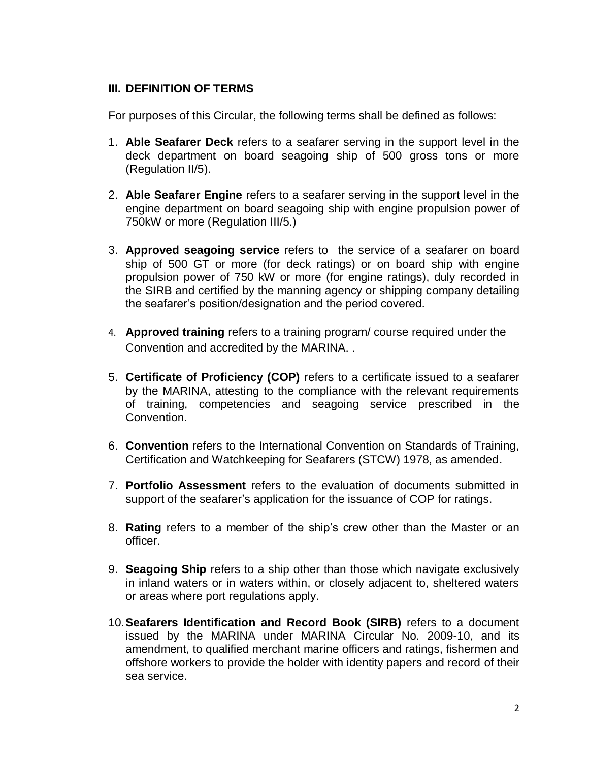### **III. DEFINITION OF TERMS**

For purposes of this Circular, the following terms shall be defined as follows:

- 1. **Able Seafarer Deck** refers to a seafarer serving in the support level in the deck department on board seagoing ship of 500 gross tons or more (Regulation II/5).
- 2. **Able Seafarer Engine** refers to a seafarer serving in the support level in the engine department on board seagoing ship with engine propulsion power of 750kW or more (Regulation III/5.)
- 3. **Approved seagoing service** refers to the service of a seafarer on board ship of 500 GT or more (for deck ratings) or on board ship with engine propulsion power of 750 kW or more (for engine ratings), duly recorded in the SIRB and certified by the manning agency or shipping company detailing the seafarer's position/designation and the period covered.
- 4. **Approved training** refers to a training program/ course required under the Convention and accredited by the MARINA. .
- 5. **Certificate of Proficiency (COP)** refers to a certificate issued to a seafarer by the MARINA, attesting to the compliance with the relevant requirements of training, competencies and seagoing service prescribed in the Convention.
- 6. **Convention** refers to the International Convention on Standards of Training, Certification and Watchkeeping for Seafarers (STCW) 1978, as amended.
- 7. **Portfolio Assessment** refers to the evaluation of documents submitted in support of the seafarer's application for the issuance of COP for ratings.
- 8. **Rating** refers to a member of the ship's crew other than the Master or an officer.
- 9. **Seagoing Ship** refers to a ship other than those which navigate exclusively in inland waters or in waters within, or closely adjacent to, sheltered waters or areas where port regulations apply.
- 10.**Seafarers Identification and Record Book (SIRB)** refers to a document issued by the MARINA under MARINA Circular No. 2009-10, and its amendment, to qualified merchant marine officers and ratings, fishermen and offshore workers to provide the holder with identity papers and record of their sea service.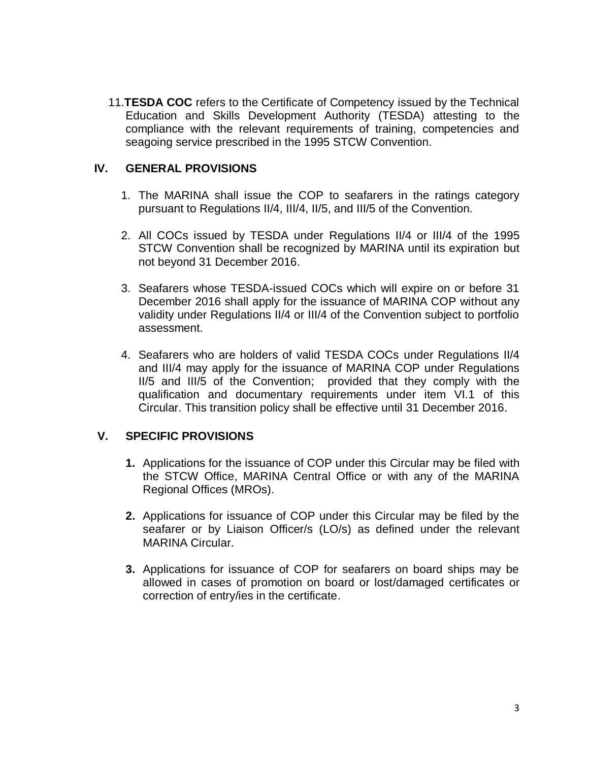11.**TESDA COC** refers to the Certificate of Competency issued by the Technical Education and Skills Development Authority (TESDA) attesting to the compliance with the relevant requirements of training, competencies and seagoing service prescribed in the 1995 STCW Convention.

### **IV. GENERAL PROVISIONS**

- 1. The MARINA shall issue the COP to seafarers in the ratings category pursuant to Regulations II/4, III/4, II/5, and III/5 of the Convention.
- 2. All COCs issued by TESDA under Regulations II/4 or III/4 of the 1995 STCW Convention shall be recognized by MARINA until its expiration but not beyond 31 December 2016.
- 3. Seafarers whose TESDA-issued COCs which will expire on or before 31 December 2016 shall apply for the issuance of MARINA COP without any validity under Regulations II/4 or III/4 of the Convention subject to portfolio assessment.
- 4. Seafarers who are holders of valid TESDA COCs under Regulations II/4 and III/4 may apply for the issuance of MARINA COP under Regulations II/5 and III/5 of the Convention; provided that they comply with the qualification and documentary requirements under item VI.1 of this Circular. This transition policy shall be effective until 31 December 2016.

# **V. SPECIFIC PROVISIONS**

- **1.** Applications for the issuance of COP under this Circular may be filed with the STCW Office, MARINA Central Office or with any of the MARINA Regional Offices (MROs).
- **2.** Applications for issuance of COP under this Circular may be filed by the seafarer or by Liaison Officer/s (LO/s) as defined under the relevant MARINA Circular.
- **3.** Applications for issuance of COP for seafarers on board ships may be allowed in cases of promotion on board or lost/damaged certificates or correction of entry/ies in the certificate.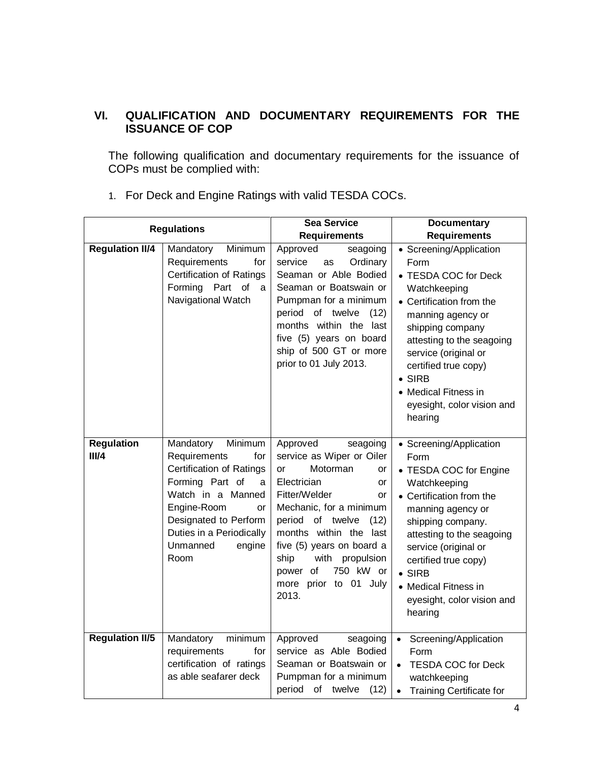# **VI. QUALIFICATION AND DOCUMENTARY REQUIREMENTS FOR THE ISSUANCE OF COP**

The following qualification and documentary requirements for the issuance of COPs must be complied with:

| <b>Regulations</b>         |                                                                                                                                                                                                                                     | <b>Sea Service</b><br><b>Requirements</b>                                                                                                                                                                                                                                                                                 | <b>Documentary</b><br><b>Requirements</b>                                                                                                                                                                                                                                                                       |
|----------------------------|-------------------------------------------------------------------------------------------------------------------------------------------------------------------------------------------------------------------------------------|---------------------------------------------------------------------------------------------------------------------------------------------------------------------------------------------------------------------------------------------------------------------------------------------------------------------------|-----------------------------------------------------------------------------------------------------------------------------------------------------------------------------------------------------------------------------------------------------------------------------------------------------------------|
| <b>Regulation II/4</b>     | Mandatory<br>Minimum<br>Requirements<br>for<br>Certification of Ratings<br>Forming Part<br>$\circ$<br><sub>a</sub><br>Navigational Watch                                                                                            | Approved<br>seagoing<br>service<br>Ordinary<br>as<br>Seaman or Able Bodied<br>Seaman or Boatswain or<br>Pumpman for a minimum<br>period of twelve<br>(12)<br>months within the last<br>five (5) years on board<br>ship of 500 GT or more<br>prior to 01 July 2013.                                                        | • Screening/Application<br>Form<br>• TESDA COC for Deck<br>Watchkeeping<br>Certification from the<br>manning agency or<br>shipping company<br>attesting to the seagoing<br>service (original or<br>certified true copy)<br><b>SIRB</b><br>• Medical Fitness in<br>eyesight, color vision and<br>hearing         |
| <b>Regulation</b><br>III/4 | Mandatory<br>Minimum<br>Requirements<br>for<br><b>Certification of Ratings</b><br>Forming Part of<br>a<br>Watch in a Manned<br>Engine-Room<br>or<br>Designated to Perform<br>Duties in a Periodically<br>Unmanned<br>engine<br>Room | Approved<br>seagoing<br>service as Wiper or Oiler<br>Motorman<br>or<br>or<br>Electrician<br>or<br>Fitter/Welder<br>or<br>Mechanic, for a minimum<br>period of twelve<br>(12)<br>months within the last<br>five (5) years on board a<br>ship<br>with propulsion<br>750 kW or<br>power of<br>more prior to 01 July<br>2013. | • Screening/Application<br>Form<br>• TESDA COC for Engine<br>Watchkeeping<br>• Certification from the<br>manning agency or<br>shipping company.<br>attesting to the seagoing<br>service (original or<br>certified true copy)<br>$\bullet$ SIRB<br>• Medical Fitness in<br>eyesight, color vision and<br>hearing |
| <b>Regulation II/5</b>     | Mandatory<br>minimum<br>requirements<br>for<br>certification of ratings<br>as able seafarer deck                                                                                                                                    | Approved<br>seagoing<br>service as Able Bodied<br>Seaman or Boatswain or<br>Pumpman for a minimum<br>period of twelve<br>(12)                                                                                                                                                                                             | Screening/Application<br>Form<br><b>TESDA COC for Deck</b><br>watchkeeping<br><b>Training Certificate for</b>                                                                                                                                                                                                   |

1. For Deck and Engine Ratings with valid TESDA COCs.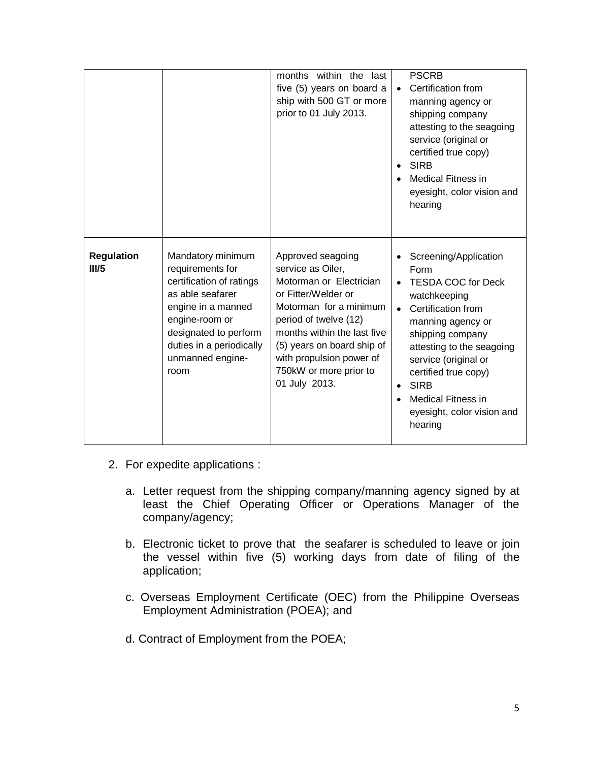|                            |                                                                                                                                                                                                                | months within the last<br>five (5) years on board a<br>ship with 500 GT or more<br>prior to 01 July 2013.                                                                                                                                                                       | <b>PSCRB</b><br>Certification from<br>$\bullet$<br>manning agency or<br>shipping company<br>attesting to the seagoing<br>service (original or<br>certified true copy)<br><b>SIRB</b><br>$\bullet$<br>Medical Fitness in<br>eyesight, color vision and<br>hearing                                            |
|----------------------------|----------------------------------------------------------------------------------------------------------------------------------------------------------------------------------------------------------------|---------------------------------------------------------------------------------------------------------------------------------------------------------------------------------------------------------------------------------------------------------------------------------|-------------------------------------------------------------------------------------------------------------------------------------------------------------------------------------------------------------------------------------------------------------------------------------------------------------|
| <b>Regulation</b><br>III/5 | Mandatory minimum<br>requirements for<br>certification of ratings<br>as able seafarer<br>engine in a manned<br>engine-room or<br>designated to perform<br>duties in a periodically<br>unmanned engine-<br>room | Approved seagoing<br>service as Oiler,<br>Motorman or Electrician<br>or Fitter/Welder or<br>Motorman for a minimum<br>period of twelve (12)<br>months within the last five<br>(5) years on board ship of<br>with propulsion power of<br>750kW or more prior to<br>01 July 2013. | Screening/Application<br>Form<br><b>TESDA COC for Deck</b><br>watchkeeping<br>Certification from<br>manning agency or<br>shipping company<br>attesting to the seagoing<br>service (original or<br>certified true copy)<br><b>SIRB</b><br><b>Medical Fitness in</b><br>eyesight, color vision and<br>hearing |

- 2. For expedite applications :
	- a. Letter request from the shipping company/manning agency signed by at least the Chief Operating Officer or Operations Manager of the company/agency;
	- b. Electronic ticket to prove that the seafarer is scheduled to leave or join the vessel within five (5) working days from date of filing of the application;
	- c. Overseas Employment Certificate (OEC) from the Philippine Overseas Employment Administration (POEA); and
	- d. Contract of Employment from the POEA;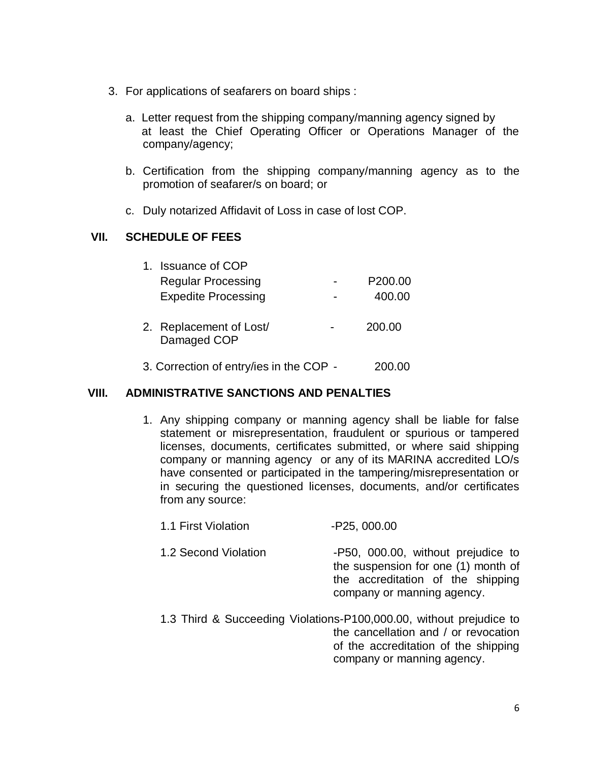- 3. For applications of seafarers on board ships :
	- a. Letter request from the shipping company/manning agency signed by at least the Chief Operating Officer or Operations Manager of the company/agency;
	- b. Certification from the shipping company/manning agency as to the promotion of seafarer/s on board; or
	- c. Duly notarized Affidavit of Loss in case of lost COP.

### **VII. SCHEDULE OF FEES**

| 1. Issuance of COP                     |                     |
|----------------------------------------|---------------------|
| <b>Regular Processing</b>              | P <sub>200.00</sub> |
| <b>Expedite Processing</b>             | 400.00              |
| 2. Replacement of Lost/<br>Damaged COP | 200.00              |
|                                        |                     |

3. Correction of entry/ies in the COP - 200.00

#### **VIII. ADMINISTRATIVE SANCTIONS AND PENALTIES**

- 1. Any shipping company or manning agency shall be liable for false statement or misrepresentation, fraudulent or spurious or tampered licenses, documents, certificates submitted, or where said shipping company or manning agency or any of its MARINA accredited LO/s have consented or participated in the tampering/misrepresentation or in securing the questioned licenses, documents, and/or certificates from any source:
	- 1.1 First Violation -P25, 000.00
	- 1.2 Second Violation **-P50, 000.00, without prejudice to** the suspension for one (1) month of the accreditation of the shipping company or manning agency.
	- 1.3 Third & Succeeding Violations-P100,000.00, without prejudice to the cancellation and / or revocation of the accreditation of the shipping company or manning agency.